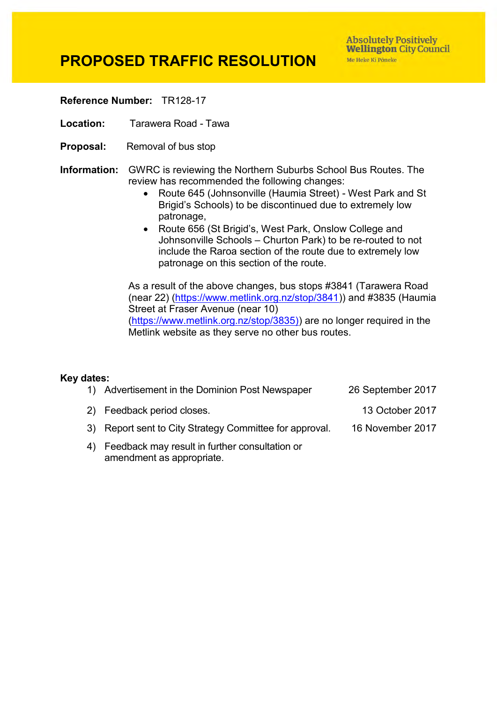**Absolutely Positively Wellington City Council** Me Heke Ki Pôneke

## **PROPOSED TRAFFIC RESOLUTION**

**Reference Number:** TR128-17

**Location:** Tarawera Road - Tawa

- **Proposal:** Removal of bus stop
- **Information:** GWRC is reviewing the Northern Suburbs School Bus Routes. The review has recommended the following changes:
	- Route 645 (Johnsonville (Haumia Street) West Park and St Brigid's Schools) to be discontinued due to extremely low patronage,
	- Route 656 (St Brigid's, West Park, Onslow College and Johnsonville Schools – Churton Park) to be re-routed to not include the Raroa section of the route due to extremely low patronage on this section of the route.

As a result of the above changes, bus stops #3841 (Tarawera Road (near 22) [\(https://www.metlink.org.nz/stop/3841\)](https://www.metlink.org.nz/stop/3841)) and #3835 (Haumia Street at Fraser Avenue (near 10) [\(https://www.metlink.org.nz/stop/3835\)\)](https://www.metlink.org.nz/stop/3835)) are no longer required in the Metlink website as they serve no other bus routes.

#### **Key dates:**

|    | 1) Advertisement in the Dominion Post Newspaper                             | 26 September 2017 |
|----|-----------------------------------------------------------------------------|-------------------|
|    | 2) Feedback period closes.                                                  | 13 October 2017   |
| 3) | Report sent to City Strategy Committee for approval.                        | 16 November 2017  |
| 4) | Feedback may result in further consultation or<br>amendment as appropriate. |                   |